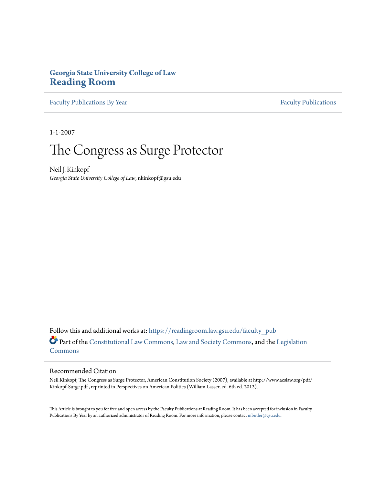# **Georgia State University College of Law [Reading Room](https://readingroom.law.gsu.edu?utm_source=readingroom.law.gsu.edu%2Ffaculty_pub%2F1417&utm_medium=PDF&utm_campaign=PDFCoverPages)**

[Faculty Publications By Year](https://readingroom.law.gsu.edu/faculty_pub?utm_source=readingroom.law.gsu.edu%2Ffaculty_pub%2F1417&utm_medium=PDF&utm_campaign=PDFCoverPages) [Faculty Publications](https://readingroom.law.gsu.edu/faculty?utm_source=readingroom.law.gsu.edu%2Ffaculty_pub%2F1417&utm_medium=PDF&utm_campaign=PDFCoverPages)

1-1-2007

# The Congress as Surge Protector

Neil J. Kinkopf *Georgia State University College of Law*, nkinkopf@gsu.edu

Follow this and additional works at: [https://readingroom.law.gsu.edu/faculty\\_pub](https://readingroom.law.gsu.edu/faculty_pub?utm_source=readingroom.law.gsu.edu%2Ffaculty_pub%2F1417&utm_medium=PDF&utm_campaign=PDFCoverPages) Part of the [Constitutional Law Commons,](http://network.bepress.com/hgg/discipline/589?utm_source=readingroom.law.gsu.edu%2Ffaculty_pub%2F1417&utm_medium=PDF&utm_campaign=PDFCoverPages) [Law and Society Commons](http://network.bepress.com/hgg/discipline/853?utm_source=readingroom.law.gsu.edu%2Ffaculty_pub%2F1417&utm_medium=PDF&utm_campaign=PDFCoverPages), and the [Legislation](http://network.bepress.com/hgg/discipline/859?utm_source=readingroom.law.gsu.edu%2Ffaculty_pub%2F1417&utm_medium=PDF&utm_campaign=PDFCoverPages) [Commons](http://network.bepress.com/hgg/discipline/859?utm_source=readingroom.law.gsu.edu%2Ffaculty_pub%2F1417&utm_medium=PDF&utm_campaign=PDFCoverPages)

#### Recommended Citation

Neil Kinkopf, The Congress as Surge Protector, American Constitution Society (2007), available at http://www.acslaw.org/pdf/ Kinkopf-Surge.pdf , reprinted in Perspectives on American Politics (William Lasser, ed. 6th ed. 2012).

This Article is brought to you for free and open access by the Faculty Publications at Reading Room. It has been accepted for inclusion in Faculty Publications By Year by an authorized administrator of Reading Room. For more information, please contact [mbutler@gsu.edu](mailto:mbutler@gsu.edu).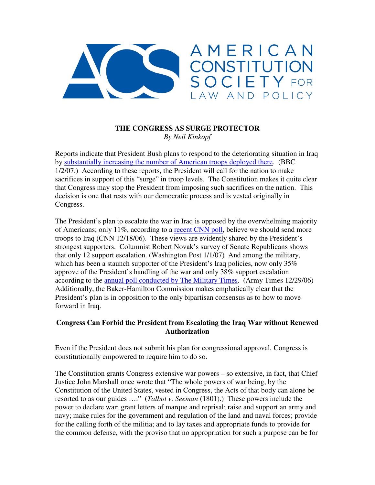

#### **THE CONGRESS AS SURGE PROTECTOR** *By Neil Kinkopf*

Reports indicate that President Bush plans to respond to the deteriorating situation in Iraq by substantially increasing the number of American troops deployed there. (BBC 1/2/07.) According to these reports, the President will call for the nation to make sacrifices in support of this "surge" in troop levels. The Constitution makes it quite clear that Congress may stop the President from imposing such sacrifices on the nation. This decision is one that rests with our democratic process and is vested originally in Congress.

The President's plan to escalate the war in Iraq is opposed by the overwhelming majority of Americans; only 11%, according to a recent CNN poll, believe we should send more troops to Iraq (CNN 12/18/06). These views are evidently shared by the President's strongest supporters. Columnist Robert Novak's survey of Senate Republicans shows that only 12 support escalation. (Washington Post 1/1/07) And among the military, which has been a staunch supporter of the President's Iraq policies, now only 35% approve of the President's handling of the war and only 38% support escalation according to the annual poll conducted by The Military Times. (Army Times 12/29/06) Additionally, the Baker-Hamilton Commission makes emphatically clear that the President's plan is in opposition to the only bipartisan consensus as to how to move forward in Iraq.

### **Congress Can Forbid the President from Escalating the Iraq War without Renewed Authorization**

Even if the President does not submit his plan for congressional approval, Congress is constitutionally empowered to require him to do so.

The Constitution grants Congress extensive war powers – so extensive, in fact, that Chief Justice John Marshall once wrote that "The whole powers of war being, by the Constitution of the United States, vested in Congress, the Acts of that body can alone be resorted to as our guides …." (*Talbot v. Seeman* (1801).) These powers include the power to declare war; grant letters of marque and reprisal; raise and support an army and navy; make rules for the government and regulation of the land and naval forces; provide for the calling forth of the militia; and to lay taxes and appropriate funds to provide for the common defense, with the proviso that no appropriation for such a purpose can be for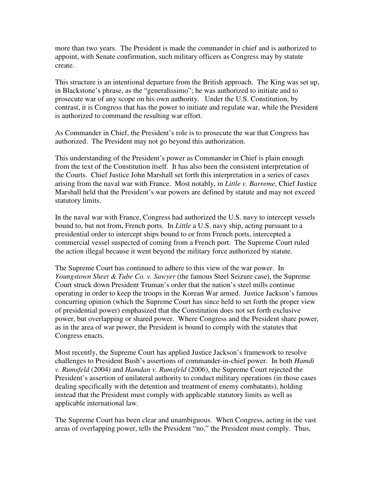more than two years. The President is made the commander in chief and is authorized to appoint, with Senate confirmation, such military officers as Congress may by statute create.

This structure is an intentional departure from the British approach. The King was set up, in Blackstone's phrase, as the "generalissimo"; he was authorized to initiate and to prosecute war of any scope on his own authority. Under the U.S. Constitution, by contrast, it is Congress that has the power to initiate and regulate war, while the President is authorized to command the resulting war effort.

As Commander in Chief, the President's role is to prosecute the war that Congress has authorized. The President may not go beyond this authorization.

This understanding of the President's power as Commander in Chief is plain enough from the text of the Constitution itself. It has also been the consistent interpretation of the Courts. Chief Justice John Marshall set forth this interpretation in a series of cases arising from the naval war with France. Most notably, in *Little v. Barreme*, Chief Justice Marshall held that the President's war powers are defined by statute and may not exceed statutory limits.

In the naval war with France, Congress had authorized the U.S. navy to intercept vessels bound to, but not from, French ports. In *Little* a U.S. navy ship, acting pursuant to a presidential order to intercept ships bound to or from French ports, intercepted a commercial vessel suspected of coming from a French port. The Supreme Court ruled the action illegal because it went beyond the military force authorized by statute.

The Supreme Court has continued to adhere to this view of the war power. In *Youngstown Sheet & Tube Co. v. Sawyer* (the famous Steel Seizure case), the Supreme Court struck down President Truman's order that the nation's steel mills continue operating in order to keep the troops in the Korean War armed. Justice Jackson's famous concurring opinion (which the Supreme Court has since held to set forth the proper view of presidential power) emphasized that the Constitution does not set forth exclusive power, but overlapping or shared power. Where Congress and the President share power, as in the area of war power, the President is bound to comply with the statutes that Congress enacts.

Most recently, the Supreme Court has applied Justice Jackson's framework to resolve challenges to President Bush's assertions of commander-in-chief power. In both *Hamdi v. Rumsfeld* (2004) and *Hamdan v. Rumsfeld* (2006), the Supreme Court rejected the President's assertion of unilateral authority to conduct military operations (in those cases dealing specifically with the detention and treatment of enemy combatants), holding instead that the President must comply with applicable statutory limits as well as applicable international law.

The Supreme Court has been clear and unambiguous. When Congress, acting in the vast areas of overlapping power, tells the President "no," the President must comply. Thus,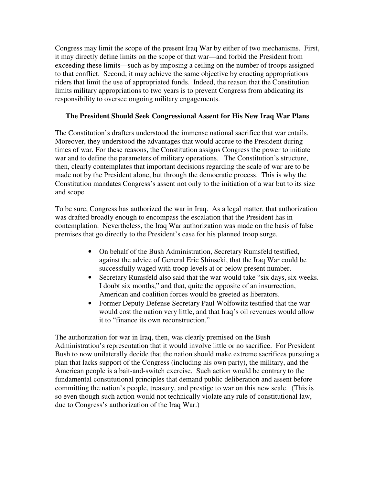Congress may limit the scope of the present Iraq War by either of two mechanisms. First, it may directly define limits on the scope of that war—and forbid the President from exceeding these limits—such as by imposing a ceiling on the number of troops assigned to that conflict. Second, it may achieve the same objective by enacting appropriations riders that limit the use of appropriated funds. Indeed, the reason that the Constitution limits military appropriations to two years is to prevent Congress from abdicating its responsibility to oversee ongoing military engagements.

## **The President Should Seek Congressional Assent for His New Iraq War Plans**

The Constitution's drafters understood the immense national sacrifice that war entails. Moreover, they understood the advantages that would accrue to the President during times of war. For these reasons, the Constitution assigns Congress the power to initiate war and to define the parameters of military operations. The Constitution's structure, then, clearly contemplates that important decisions regarding the scale of war are to be made not by the President alone, but through the democratic process. This is why the Constitution mandates Congress's assent not only to the initiation of a war but to its size and scope.

To be sure, Congress has authorized the war in Iraq. As a legal matter, that authorization was drafted broadly enough to encompass the escalation that the President has in contemplation. Nevertheless, the Iraq War authorization was made on the basis of false premises that go directly to the President's case for his planned troop surge.

- On behalf of the Bush Administration, Secretary Rumsfeld testified, against the advice of General Eric Shinseki, that the Iraq War could be successfully waged with troop levels at or below present number.
- Secretary Rumsfeld also said that the war would take "six days, six weeks. I doubt six months," and that, quite the opposite of an insurrection, American and coalition forces would be greeted as liberators.
- Former Deputy Defense Secretary Paul Wolfowitz testified that the war would cost the nation very little, and that Iraq's oil revenues would allow it to "finance its own reconstruction."

The authorization for war in Iraq, then, was clearly premised on the Bush Administration's representation that it would involve little or no sacrifice. For President Bush to now unilaterally decide that the nation should make extreme sacrifices pursuing a plan that lacks support of the Congress (including his own party), the military, and the American people is a bait-and-switch exercise. Such action would be contrary to the fundamental constitutional principles that demand public deliberation and assent before committing the nation's people, treasury, and prestige to war on this new scale. (This is so even though such action would not technically violate any rule of constitutional law, due to Congress's authorization of the Iraq War.)